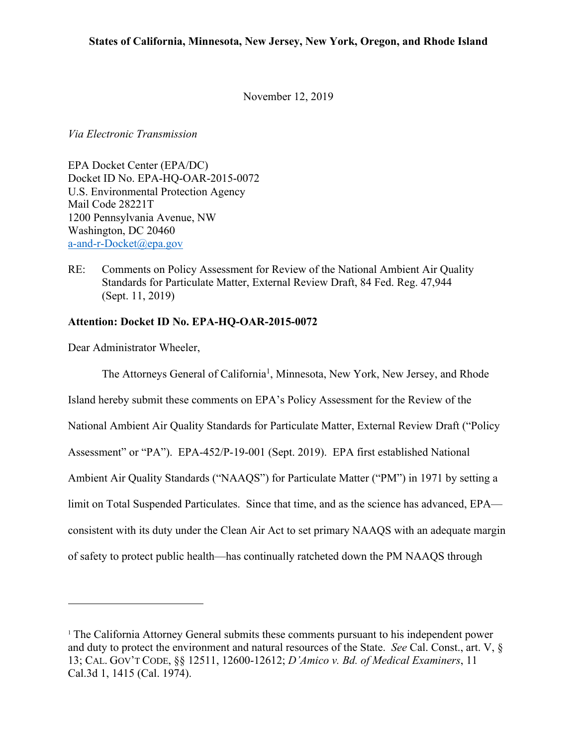November 12, 2019

*Via Electronic Transmission*

EPA Docket Center (EPA/DC) Docket ID No. EPA-HQ-OAR-2015-0072 U.S. Environmental Protection Agency Mail Code 28221T 1200 Pennsylvania Avenue, NW Washington, DC 20460 a-and-r-Docket@epa.gov

RE: Comments on Policy Assessment for Review of the National Ambient Air Quality Standards for Particulate Matter, External Review Draft, 84 Fed. Reg. 47,944 (Sept. 11, 2019)

# **Attention: Docket ID No. EPA-HQ-OAR-2015-0072**

Dear Administrator Wheeler,

The Attorneys General of California<sup>1</sup>, Minnesota, New York, New Jersey, and Rhode Island hereby submit these comments on EPA's Policy Assessment for the Review of the National Ambient Air Quality Standards for Particulate Matter, External Review Draft ("Policy Assessment" or "PA"). EPA-452/P-19-001 (Sept. 2019). EPA first established National Ambient Air Quality Standards ("NAAQS") for Particulate Matter ("PM") in 1971 by setting a limit on Total Suspended Particulates. Since that time, and as the science has advanced, EPA consistent with its duty under the Clean Air Act to set primary NAAQS with an adequate margin of safety to protect public health—has continually ratcheted down the PM NAAQS through

<sup>1</sup> The California Attorney General submits these comments pursuant to his independent power and duty to protect the environment and natural resources of the State. *See* Cal. Const., art. V, § 13; CAL. GOV'T CODE, §§ 12511, 12600-12612; *D'Amico v. Bd. of Medical Examiners*, 11 Cal.3d 1, 1415 (Cal. 1974).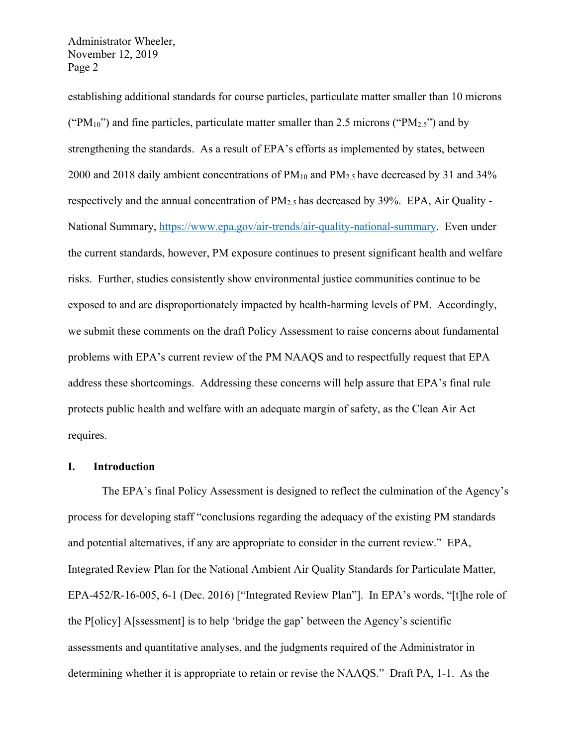establishing additional standards for course particles, particulate matter smaller than 10 microns ("PM<sub>10</sub>") and fine particles, particulate matter smaller than 2.5 microns ("PM<sub>2.5</sub>") and by strengthening the standards. As a result of EPA's efforts as implemented by states, between 2000 and 2018 daily ambient concentrations of PM10 and PM2.5 have decreased by 31 and 34% respectively and the annual concentration of  $PM_{2.5}$  has decreased by 39%. EPA, Air Quality -National Summary, https://www.epa.gov/air-trends/air-quality-national-summary. Even under the current standards, however, PM exposure continues to present significant health and welfare risks. Further, studies consistently show environmental justice communities continue to be exposed to and are disproportionately impacted by health-harming levels of PM. Accordingly, we submit these comments on the draft Policy Assessment to raise concerns about fundamental problems with EPA's current review of the PM NAAQS and to respectfully request that EPA address these shortcomings. Addressing these concerns will help assure that EPA's final rule protects public health and welfare with an adequate margin of safety, as the Clean Air Act requires.

## **I. Introduction**

The EPA's final Policy Assessment is designed to reflect the culmination of the Agency's process for developing staff "conclusions regarding the adequacy of the existing PM standards and potential alternatives, if any are appropriate to consider in the current review." EPA, Integrated Review Plan for the National Ambient Air Quality Standards for Particulate Matter, EPA-452/R-16-005, 6-1 (Dec. 2016) ["Integrated Review Plan"]. In EPA's words, "[t]he role of the P[olicy] A[ssessment] is to help 'bridge the gap' between the Agency's scientific assessments and quantitative analyses, and the judgments required of the Administrator in determining whether it is appropriate to retain or revise the NAAQS." Draft PA, 1-1. As the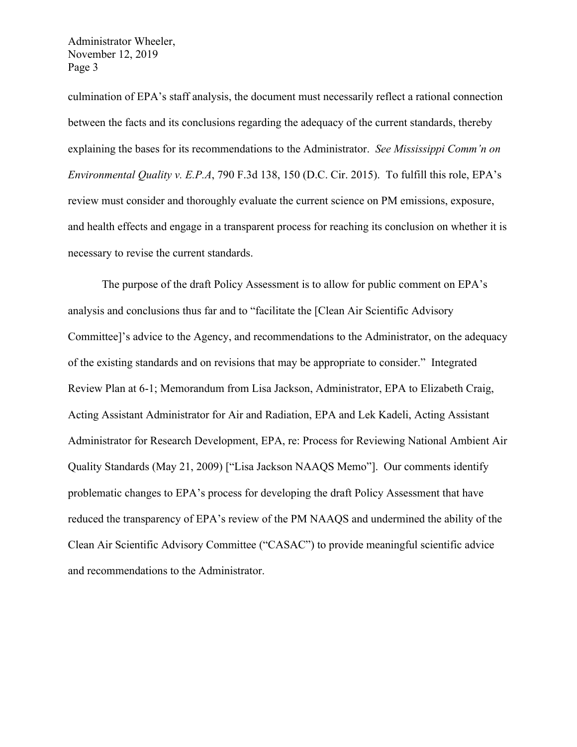culmination of EPA's staff analysis, the document must necessarily reflect a rational connection between the facts and its conclusions regarding the adequacy of the current standards, thereby explaining the bases for its recommendations to the Administrator. *See Mississippi Comm'n on Environmental Quality v. E.P.A*, 790 F.3d 138, 150 (D.C. Cir. 2015). To fulfill this role, EPA's review must consider and thoroughly evaluate the current science on PM emissions, exposure, and health effects and engage in a transparent process for reaching its conclusion on whether it is necessary to revise the current standards.

The purpose of the draft Policy Assessment is to allow for public comment on EPA's analysis and conclusions thus far and to "facilitate the [Clean Air Scientific Advisory Committee]'s advice to the Agency, and recommendations to the Administrator, on the adequacy of the existing standards and on revisions that may be appropriate to consider." Integrated Review Plan at 6-1; Memorandum from Lisa Jackson, Administrator, EPA to Elizabeth Craig, Acting Assistant Administrator for Air and Radiation, EPA and Lek Kadeli, Acting Assistant Administrator for Research Development, EPA, re: Process for Reviewing National Ambient Air Quality Standards (May 21, 2009) ["Lisa Jackson NAAQS Memo"]. Our comments identify problematic changes to EPA's process for developing the draft Policy Assessment that have reduced the transparency of EPA's review of the PM NAAQS and undermined the ability of the Clean Air Scientific Advisory Committee ("CASAC") to provide meaningful scientific advice and recommendations to the Administrator.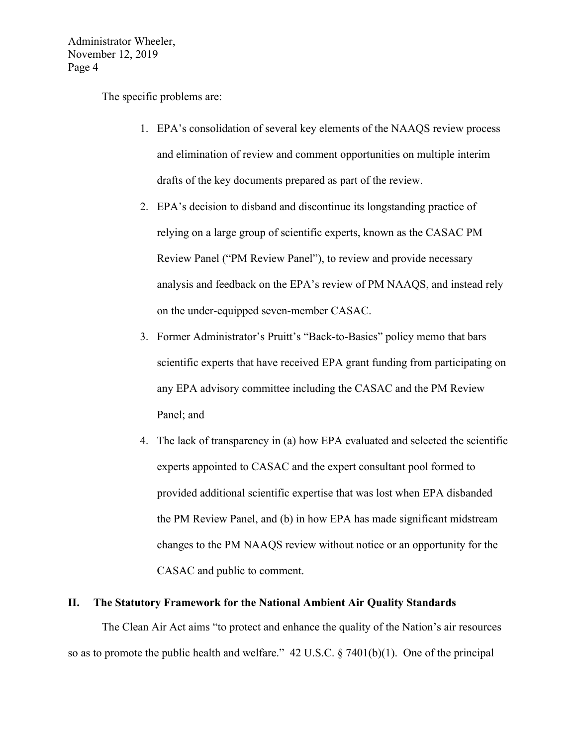The specific problems are:

- 1. EPA's consolidation of several key elements of the NAAQS review process and elimination of review and comment opportunities on multiple interim drafts of the key documents prepared as part of the review.
- 2. EPA's decision to disband and discontinue its longstanding practice of relying on a large group of scientific experts, known as the CASAC PM Review Panel ("PM Review Panel"), to review and provide necessary analysis and feedback on the EPA's review of PM NAAQS, and instead rely on the under-equipped seven-member CASAC.
- 3. Former Administrator's Pruitt's "Back-to-Basics" policy memo that bars scientific experts that have received EPA grant funding from participating on any EPA advisory committee including the CASAC and the PM Review Panel; and
- 4. The lack of transparency in (a) how EPA evaluated and selected the scientific experts appointed to CASAC and the expert consultant pool formed to provided additional scientific expertise that was lost when EPA disbanded the PM Review Panel, and (b) in how EPA has made significant midstream changes to the PM NAAQS review without notice or an opportunity for the CASAC and public to comment.

#### **II. The Statutory Framework for the National Ambient Air Quality Standards**

The Clean Air Act aims "to protect and enhance the quality of the Nation's air resources so as to promote the public health and welfare."  $42 \text{ U.S.C.}$  § 7401(b)(1). One of the principal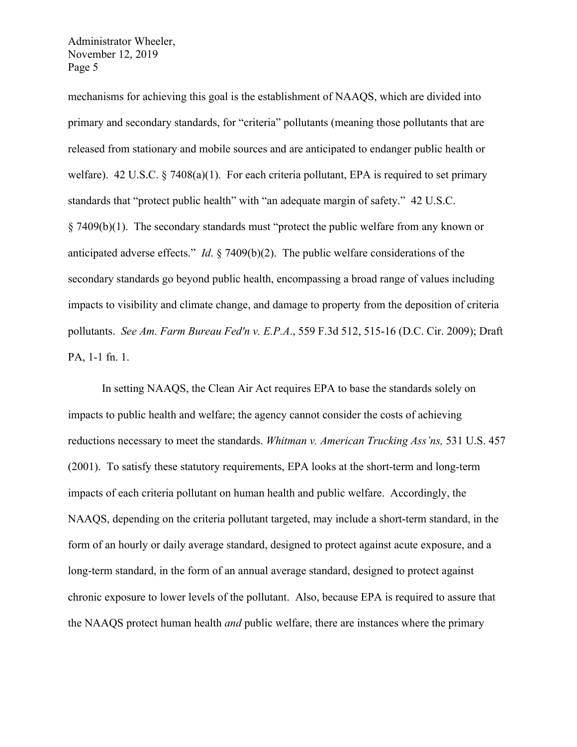mechanisms for achieving this goal is the establishment of NAAQS, which are divided into primary and secondary standards, for "criteria" pollutants (meaning those pollutants that are released from stationary and mobile sources and are anticipated to endanger public health or welfare). 42 U.S.C.  $\S$  7408(a)(1). For each criteria pollutant, EPA is required to set primary standards that "protect public health" with "an adequate margin of safety." 42 U.S.C. § 7409(b)(1). The secondary standards must "protect the public welfare from any known or anticipated adverse effects." *Id*. § 7409(b)(2). The public welfare considerations of the secondary standards go beyond public health, encompassing a broad range of values including impacts to visibility and climate change, and damage to property from the deposition of criteria pollutants. *See Am. Farm Bureau Fed'n v. E.P.A*., 559 F.3d 512, 515-16 (D.C. Cir. 2009); Draft PA, 1-1 fn. 1.

In setting NAAQS, the Clean Air Act requires EPA to base the standards solely on impacts to public health and welfare; the agency cannot consider the costs of achieving reductions necessary to meet the standards. *Whitman v. American Trucking Ass'ns,* 531 U.S. 457 (2001). To satisfy these statutory requirements, EPA looks at the short-term and long-term impacts of each criteria pollutant on human health and public welfare. Accordingly, the NAAQS, depending on the criteria pollutant targeted, may include a short-term standard, in the form of an hourly or daily average standard, designed to protect against acute exposure, and a long-term standard, in the form of an annual average standard, designed to protect against chronic exposure to lower levels of the pollutant. Also, because EPA is required to assure that the NAAQS protect human health *and* public welfare, there are instances where the primary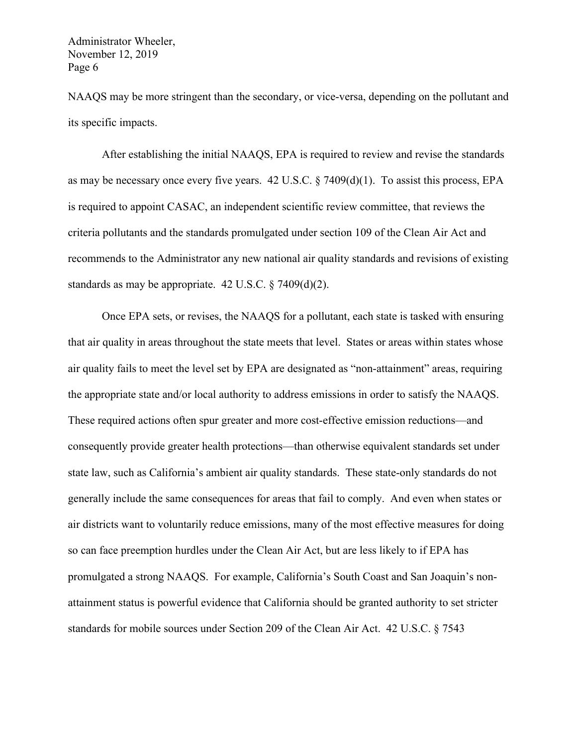NAAQS may be more stringent than the secondary, or vice-versa, depending on the pollutant and its specific impacts.

After establishing the initial NAAQS, EPA is required to review and revise the standards as may be necessary once every five years. 42 U.S.C. § 7409(d)(1). To assist this process, EPA is required to appoint CASAC, an independent scientific review committee, that reviews the criteria pollutants and the standards promulgated under section 109 of the Clean Air Act and recommends to the Administrator any new national air quality standards and revisions of existing standards as may be appropriate. 42 U.S.C. § 7409(d)(2).

Once EPA sets, or revises, the NAAQS for a pollutant, each state is tasked with ensuring that air quality in areas throughout the state meets that level. States or areas within states whose air quality fails to meet the level set by EPA are designated as "non-attainment" areas, requiring the appropriate state and/or local authority to address emissions in order to satisfy the NAAQS. These required actions often spur greater and more cost-effective emission reductions—and consequently provide greater health protections—than otherwise equivalent standards set under state law, such as California's ambient air quality standards. These state-only standards do not generally include the same consequences for areas that fail to comply. And even when states or air districts want to voluntarily reduce emissions, many of the most effective measures for doing so can face preemption hurdles under the Clean Air Act, but are less likely to if EPA has promulgated a strong NAAQS. For example, California's South Coast and San Joaquin's nonattainment status is powerful evidence that California should be granted authority to set stricter standards for mobile sources under Section 209 of the Clean Air Act. 42 U.S.C. § 7543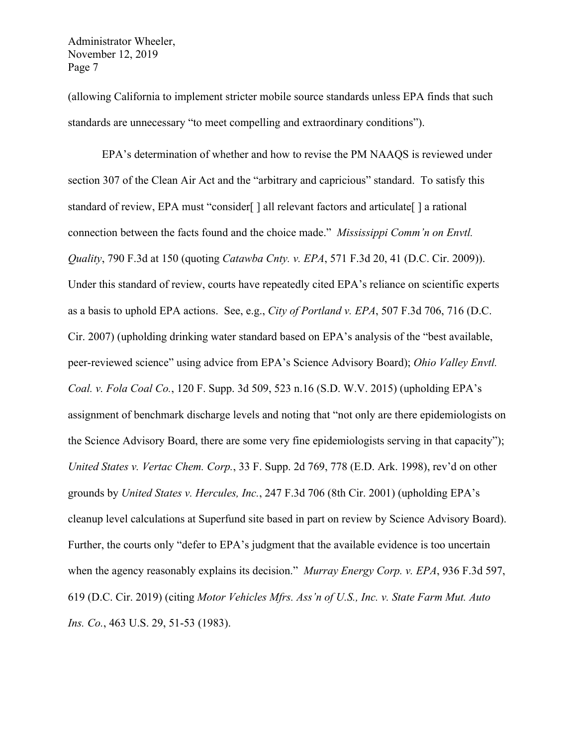(allowing California to implement stricter mobile source standards unless EPA finds that such standards are unnecessary "to meet compelling and extraordinary conditions").

EPA's determination of whether and how to revise the PM NAAQS is reviewed under section 307 of the Clean Air Act and the "arbitrary and capricious" standard. To satisfy this standard of review, EPA must "consider[ ] all relevant factors and articulate[ ] a rational connection between the facts found and the choice made." *Mississippi Comm'n on Envtl. Quality*, 790 F.3d at 150 (quoting *Catawba Cnty. v. EPA*, 571 F.3d 20, 41 (D.C. Cir. 2009)). Under this standard of review, courts have repeatedly cited EPA's reliance on scientific experts as a basis to uphold EPA actions. See, e.g., *City of Portland v. EPA*, 507 F.3d 706, 716 (D.C. Cir. 2007) (upholding drinking water standard based on EPA's analysis of the "best available, peer-reviewed science" using advice from EPA's Science Advisory Board); *Ohio Valley Envtl. Coal. v. Fola Coal Co.*, 120 F. Supp. 3d 509, 523 n.16 (S.D. W.V. 2015) (upholding EPA's assignment of benchmark discharge levels and noting that "not only are there epidemiologists on the Science Advisory Board, there are some very fine epidemiologists serving in that capacity"); *United States v. Vertac Chem. Corp.*, 33 F. Supp. 2d 769, 778 (E.D. Ark. 1998), rev'd on other grounds by *United States v. Hercules, Inc.*, 247 F.3d 706 (8th Cir. 2001) (upholding EPA's cleanup level calculations at Superfund site based in part on review by Science Advisory Board). Further, the courts only "defer to EPA's judgment that the available evidence is too uncertain when the agency reasonably explains its decision." *Murray Energy Corp. v. EPA*, 936 F.3d 597, 619 (D.C. Cir. 2019) (citing *Motor Vehicles Mfrs. Ass'n of U.S., Inc. v. State Farm Mut. Auto Ins. Co.*, 463 U.S. 29, 51-53 (1983).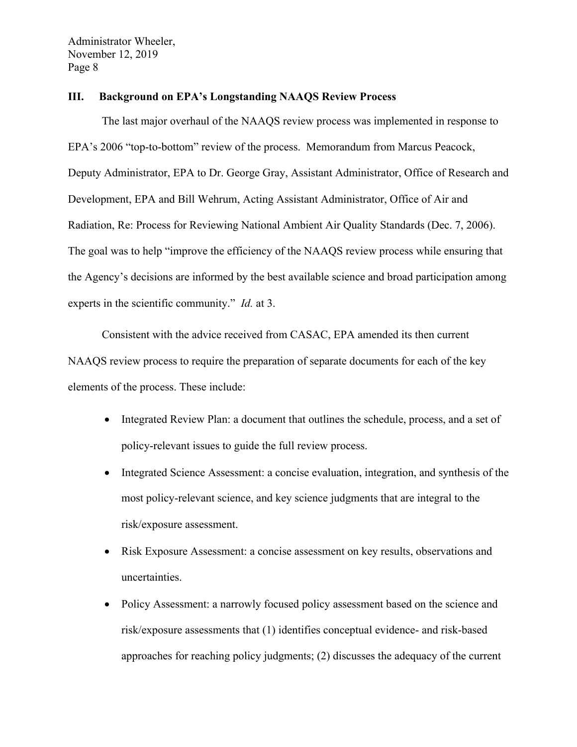### **III. Background on EPA's Longstanding NAAQS Review Process**

The last major overhaul of the NAAQS review process was implemented in response to EPA's 2006 "top-to-bottom" review of the process. Memorandum from Marcus Peacock, Deputy Administrator, EPA to Dr. George Gray, Assistant Administrator, Office of Research and Development, EPA and Bill Wehrum, Acting Assistant Administrator, Office of Air and Radiation, Re: Process for Reviewing National Ambient Air Quality Standards (Dec. 7, 2006). The goal was to help "improve the efficiency of the NAAQS review process while ensuring that the Agency's decisions are informed by the best available science and broad participation among experts in the scientific community." *Id.* at 3.

Consistent with the advice received from CASAC, EPA amended its then current NAAQS review process to require the preparation of separate documents for each of the key elements of the process. These include:

- Integrated Review Plan: a document that outlines the schedule, process, and a set of policy-relevant issues to guide the full review process.
- Integrated Science Assessment: a concise evaluation, integration, and synthesis of the most policy-relevant science, and key science judgments that are integral to the risk/exposure assessment.
- Risk Exposure Assessment: a concise assessment on key results, observations and uncertainties.
- Policy Assessment: a narrowly focused policy assessment based on the science and risk/exposure assessments that (1) identifies conceptual evidence- and risk-based approaches for reaching policy judgments; (2) discusses the adequacy of the current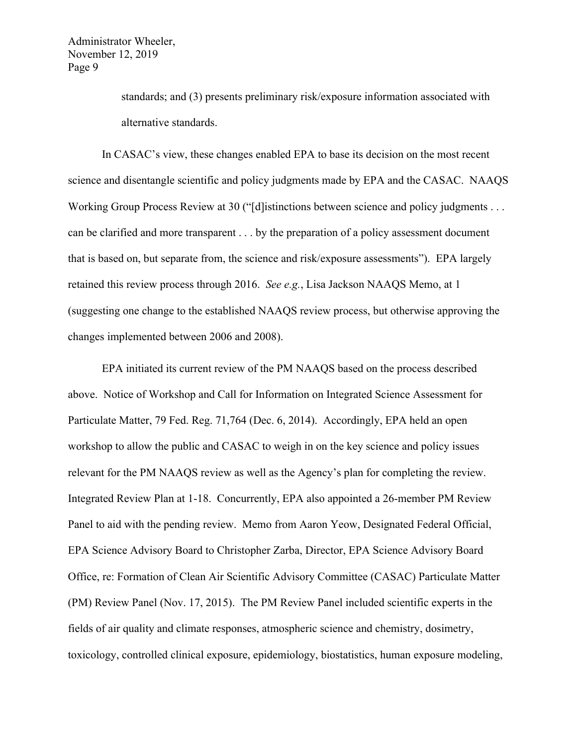> standards; and (3) presents preliminary risk/exposure information associated with alternative standards.

In CASAC's view, these changes enabled EPA to base its decision on the most recent science and disentangle scientific and policy judgments made by EPA and the CASAC. NAAQS Working Group Process Review at 30 ("[d] istinctions between science and policy judgments . . . can be clarified and more transparent . . . by the preparation of a policy assessment document that is based on, but separate from, the science and risk/exposure assessments"). EPA largely retained this review process through 2016. *See e.g.*, Lisa Jackson NAAQS Memo, at 1 (suggesting one change to the established NAAQS review process, but otherwise approving the changes implemented between 2006 and 2008).

EPA initiated its current review of the PM NAAQS based on the process described above. Notice of Workshop and Call for Information on Integrated Science Assessment for Particulate Matter, 79 Fed. Reg. 71,764 (Dec. 6, 2014). Accordingly, EPA held an open workshop to allow the public and CASAC to weigh in on the key science and policy issues relevant for the PM NAAQS review as well as the Agency's plan for completing the review. Integrated Review Plan at 1-18. Concurrently, EPA also appointed a 26-member PM Review Panel to aid with the pending review. Memo from Aaron Yeow, Designated Federal Official, EPA Science Advisory Board to Christopher Zarba, Director, EPA Science Advisory Board Office, re: Formation of Clean Air Scientific Advisory Committee (CASAC) Particulate Matter (PM) Review Panel (Nov. 17, 2015). The PM Review Panel included scientific experts in the fields of air quality and climate responses, atmospheric science and chemistry, dosimetry, toxicology, controlled clinical exposure, epidemiology, biostatistics, human exposure modeling,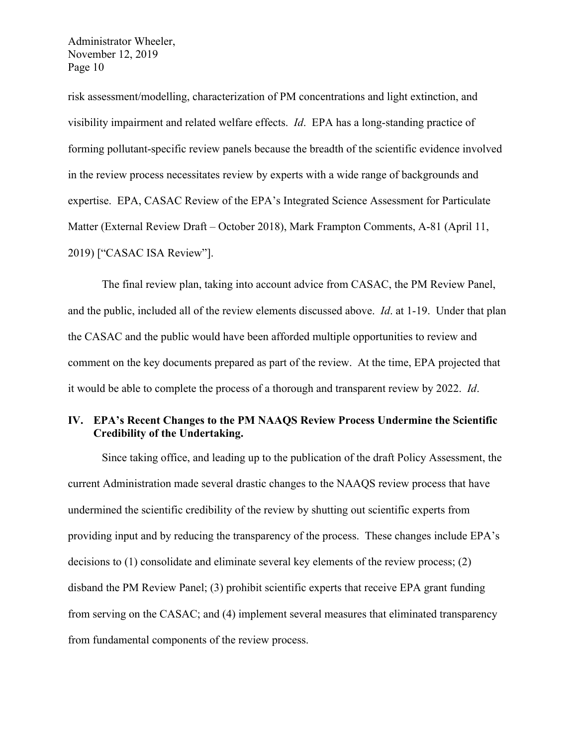risk assessment/modelling, characterization of PM concentrations and light extinction, and visibility impairment and related welfare effects. *Id*. EPA has a long-standing practice of forming pollutant-specific review panels because the breadth of the scientific evidence involved in the review process necessitates review by experts with a wide range of backgrounds and expertise. EPA, CASAC Review of the EPA's Integrated Science Assessment for Particulate Matter (External Review Draft – October 2018), Mark Frampton Comments, A-81 (April 11, 2019) ["CASAC ISA Review"].

The final review plan, taking into account advice from CASAC, the PM Review Panel, and the public, included all of the review elements discussed above. *Id*. at 1-19. Under that plan the CASAC and the public would have been afforded multiple opportunities to review and comment on the key documents prepared as part of the review. At the time, EPA projected that it would be able to complete the process of a thorough and transparent review by 2022. *Id*.

# **IV. EPA's Recent Changes to the PM NAAQS Review Process Undermine the Scientific Credibility of the Undertaking.**

Since taking office, and leading up to the publication of the draft Policy Assessment, the current Administration made several drastic changes to the NAAQS review process that have undermined the scientific credibility of the review by shutting out scientific experts from providing input and by reducing the transparency of the process. These changes include EPA's decisions to (1) consolidate and eliminate several key elements of the review process; (2) disband the PM Review Panel; (3) prohibit scientific experts that receive EPA grant funding from serving on the CASAC; and (4) implement several measures that eliminated transparency from fundamental components of the review process.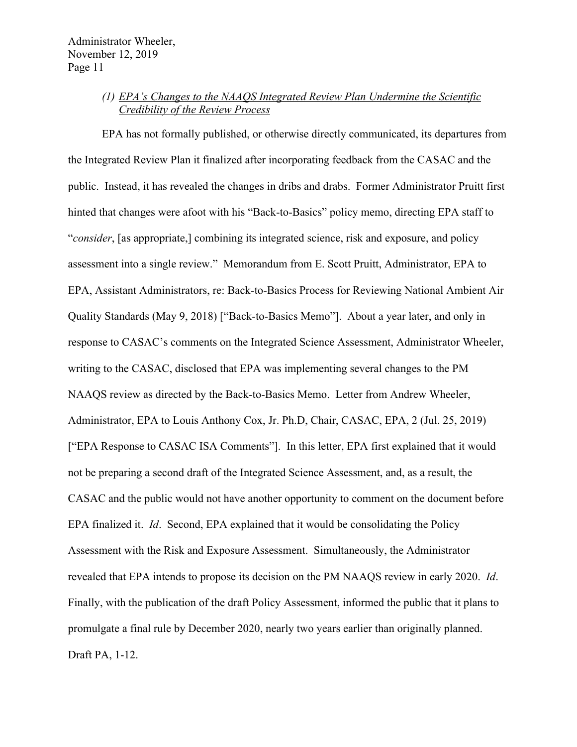# *(1) EPA's Changes to the NAAQS Integrated Review Plan Undermine the Scientific Credibility of the Review Process*

EPA has not formally published, or otherwise directly communicated, its departures from the Integrated Review Plan it finalized after incorporating feedback from the CASAC and the public. Instead, it has revealed the changes in dribs and drabs. Former Administrator Pruitt first hinted that changes were afoot with his "Back-to-Basics" policy memo, directing EPA staff to "*consider*, [as appropriate,] combining its integrated science, risk and exposure, and policy assessment into a single review." Memorandum from E. Scott Pruitt, Administrator, EPA to EPA, Assistant Administrators, re: Back-to-Basics Process for Reviewing National Ambient Air Quality Standards (May 9, 2018) ["Back-to-Basics Memo"]. About a year later, and only in response to CASAC's comments on the Integrated Science Assessment, Administrator Wheeler, writing to the CASAC, disclosed that EPA was implementing several changes to the PM NAAQS review as directed by the Back-to-Basics Memo. Letter from Andrew Wheeler, Administrator, EPA to Louis Anthony Cox, Jr. Ph.D, Chair, CASAC, EPA, 2 (Jul. 25, 2019) ["EPA Response to CASAC ISA Comments"]. In this letter, EPA first explained that it would not be preparing a second draft of the Integrated Science Assessment, and, as a result, the CASAC and the public would not have another opportunity to comment on the document before EPA finalized it. *Id*. Second, EPA explained that it would be consolidating the Policy Assessment with the Risk and Exposure Assessment. Simultaneously, the Administrator revealed that EPA intends to propose its decision on the PM NAAQS review in early 2020. *Id*. Finally, with the publication of the draft Policy Assessment, informed the public that it plans to promulgate a final rule by December 2020, nearly two years earlier than originally planned. Draft PA, 1-12.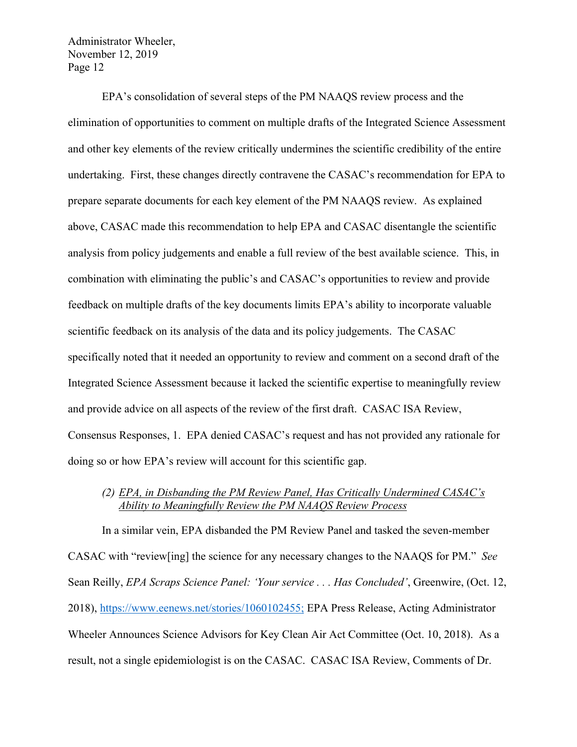EPA's consolidation of several steps of the PM NAAQS review process and the elimination of opportunities to comment on multiple drafts of the Integrated Science Assessment and other key elements of the review critically undermines the scientific credibility of the entire undertaking. First, these changes directly contravene the CASAC's recommendation for EPA to prepare separate documents for each key element of the PM NAAQS review. As explained above, CASAC made this recommendation to help EPA and CASAC disentangle the scientific analysis from policy judgements and enable a full review of the best available science. This, in combination with eliminating the public's and CASAC's opportunities to review and provide feedback on multiple drafts of the key documents limits EPA's ability to incorporate valuable scientific feedback on its analysis of the data and its policy judgements. The CASAC specifically noted that it needed an opportunity to review and comment on a second draft of the Integrated Science Assessment because it lacked the scientific expertise to meaningfully review and provide advice on all aspects of the review of the first draft. CASAC ISA Review, Consensus Responses, 1. EPA denied CASAC's request and has not provided any rationale for doing so or how EPA's review will account for this scientific gap.

# *(2) EPA, in Disbanding the PM Review Panel, Has Critically Undermined CASAC's Ability to Meaningfully Review the PM NAAQS Review Process*

In a similar vein, EPA disbanded the PM Review Panel and tasked the seven-member CASAC with "review[ing] the science for any necessary changes to the NAAQS for PM." *See* Sean Reilly, *EPA Scraps Science Panel: 'Your service . . . Has Concluded'*, Greenwire, (Oct. 12, 2018), https://www.eenews.net/stories/1060102455; EPA Press Release, Acting Administrator Wheeler Announces Science Advisors for Key Clean Air Act Committee (Oct. 10, 2018). As a result, not a single epidemiologist is on the CASAC. CASAC ISA Review, Comments of Dr.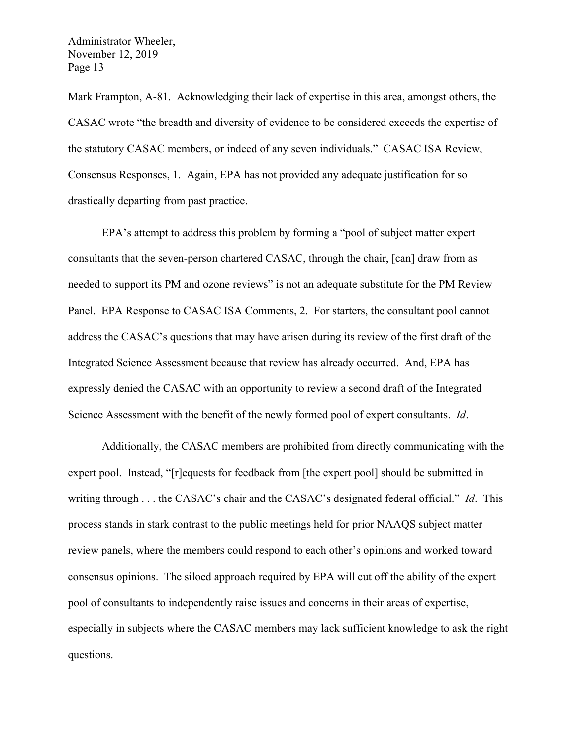Mark Frampton, A-81. Acknowledging their lack of expertise in this area, amongst others, the CASAC wrote "the breadth and diversity of evidence to be considered exceeds the expertise of the statutory CASAC members, or indeed of any seven individuals." CASAC ISA Review, Consensus Responses, 1. Again, EPA has not provided any adequate justification for so drastically departing from past practice.

EPA's attempt to address this problem by forming a "pool of subject matter expert consultants that the seven-person chartered CASAC, through the chair, [can] draw from as needed to support its PM and ozone reviews" is not an adequate substitute for the PM Review Panel. EPA Response to CASAC ISA Comments, 2. For starters, the consultant pool cannot address the CASAC's questions that may have arisen during its review of the first draft of the Integrated Science Assessment because that review has already occurred. And, EPA has expressly denied the CASAC with an opportunity to review a second draft of the Integrated Science Assessment with the benefit of the newly formed pool of expert consultants. *Id*.

Additionally, the CASAC members are prohibited from directly communicating with the expert pool. Instead, "[r]equests for feedback from [the expert pool] should be submitted in writing through . . . the CASAC's chair and the CASAC's designated federal official." *Id*. This process stands in stark contrast to the public meetings held for prior NAAQS subject matter review panels, where the members could respond to each other's opinions and worked toward consensus opinions. The siloed approach required by EPA will cut off the ability of the expert pool of consultants to independently raise issues and concerns in their areas of expertise, especially in subjects where the CASAC members may lack sufficient knowledge to ask the right questions.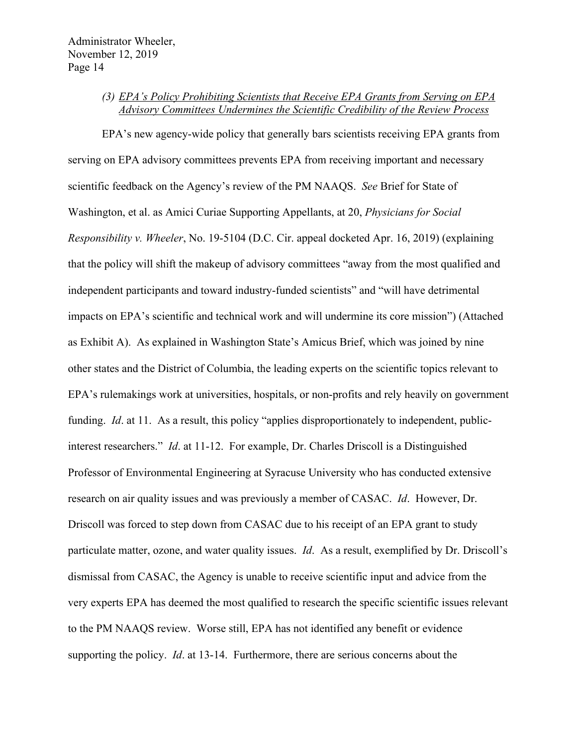## *(3) EPA's Policy Prohibiting Scientists that Receive EPA Grants from Serving on EPA Advisory Committees Undermines the Scientific Credibility of the Review Process*

EPA's new agency-wide policy that generally bars scientists receiving EPA grants from serving on EPA advisory committees prevents EPA from receiving important and necessary scientific feedback on the Agency's review of the PM NAAQS. *See* Brief for State of Washington, et al. as Amici Curiae Supporting Appellants, at 20, *Physicians for Social Responsibility v. Wheeler*, No. 19-5104 (D.C. Cir. appeal docketed Apr. 16, 2019) (explaining that the policy will shift the makeup of advisory committees "away from the most qualified and independent participants and toward industry-funded scientists" and "will have detrimental impacts on EPA's scientific and technical work and will undermine its core mission") (Attached as Exhibit A). As explained in Washington State's Amicus Brief, which was joined by nine other states and the District of Columbia, the leading experts on the scientific topics relevant to EPA's rulemakings work at universities, hospitals, or non-profits and rely heavily on government funding. *Id.* at 11. As a result, this policy "applies disproportionately to independent, publicinterest researchers." *Id*. at 11-12. For example, Dr. Charles Driscoll is a Distinguished Professor of Environmental Engineering at Syracuse University who has conducted extensive research on air quality issues and was previously a member of CASAC. *Id*. However, Dr. Driscoll was forced to step down from CASAC due to his receipt of an EPA grant to study particulate matter, ozone, and water quality issues. *Id*. As a result, exemplified by Dr. Driscoll's dismissal from CASAC, the Agency is unable to receive scientific input and advice from the very experts EPA has deemed the most qualified to research the specific scientific issues relevant to the PM NAAQS review. Worse still, EPA has not identified any benefit or evidence supporting the policy. *Id*. at 13-14. Furthermore, there are serious concerns about the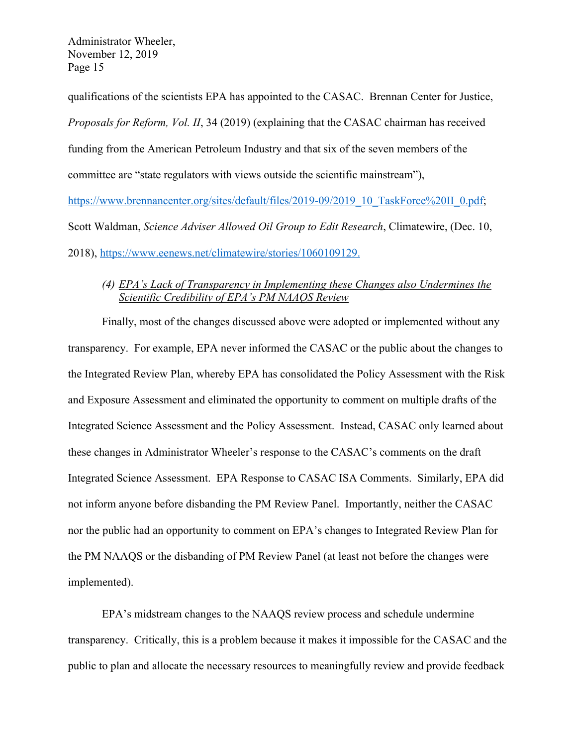qualifications of the scientists EPA has appointed to the CASAC. Brennan Center for Justice, *Proposals for Reform, Vol. II*, 34 (2019) (explaining that the CASAC chairman has received funding from the American Petroleum Industry and that six of the seven members of the committee are "state regulators with views outside the scientific mainstream"), https://www.brennancenter.org/sites/default/files/2019-09/2019\_10\_TaskForce%20II\_0.pdf; Scott Waldman, *Science Adviser Allowed Oil Group to Edit Research*, Climatewire, (Dec. 10,

2018), https://www.eenews.net/climatewire/stories/1060109129.

# *(4) EPA's Lack of Transparency in Implementing these Changes also Undermines the Scientific Credibility of EPA's PM NAAQS Review*

Finally, most of the changes discussed above were adopted or implemented without any transparency. For example, EPA never informed the CASAC or the public about the changes to the Integrated Review Plan, whereby EPA has consolidated the Policy Assessment with the Risk and Exposure Assessment and eliminated the opportunity to comment on multiple drafts of the Integrated Science Assessment and the Policy Assessment. Instead, CASAC only learned about these changes in Administrator Wheeler's response to the CASAC's comments on the draft Integrated Science Assessment. EPA Response to CASAC ISA Comments. Similarly, EPA did not inform anyone before disbanding the PM Review Panel. Importantly, neither the CASAC nor the public had an opportunity to comment on EPA's changes to Integrated Review Plan for the PM NAAQS or the disbanding of PM Review Panel (at least not before the changes were implemented).

EPA's midstream changes to the NAAQS review process and schedule undermine transparency. Critically, this is a problem because it makes it impossible for the CASAC and the public to plan and allocate the necessary resources to meaningfully review and provide feedback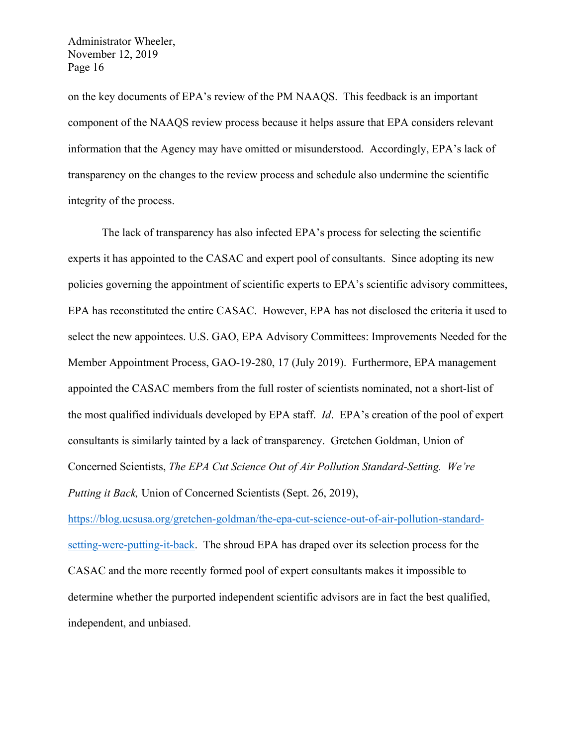on the key documents of EPA's review of the PM NAAQS. This feedback is an important component of the NAAQS review process because it helps assure that EPA considers relevant information that the Agency may have omitted or misunderstood. Accordingly, EPA's lack of transparency on the changes to the review process and schedule also undermine the scientific integrity of the process.

The lack of transparency has also infected EPA's process for selecting the scientific experts it has appointed to the CASAC and expert pool of consultants. Since adopting its new policies governing the appointment of scientific experts to EPA's scientific advisory committees, EPA has reconstituted the entire CASAC. However, EPA has not disclosed the criteria it used to select the new appointees. U.S. GAO, EPA Advisory Committees: Improvements Needed for the Member Appointment Process, GAO-19-280, 17 (July 2019). Furthermore, EPA management appointed the CASAC members from the full roster of scientists nominated, not a short-list of the most qualified individuals developed by EPA staff. *Id*. EPA's creation of the pool of expert consultants is similarly tainted by a lack of transparency. Gretchen Goldman, Union of Concerned Scientists, *The EPA Cut Science Out of Air Pollution Standard-Setting. We're Putting it Back,* Union of Concerned Scientists (Sept. 26, 2019),

https://blog.ucsusa.org/gretchen-goldman/the-epa-cut-science-out-of-air-pollution-standardsetting-were-putting-it-back. The shroud EPA has draped over its selection process for the CASAC and the more recently formed pool of expert consultants makes it impossible to determine whether the purported independent scientific advisors are in fact the best qualified, independent, and unbiased.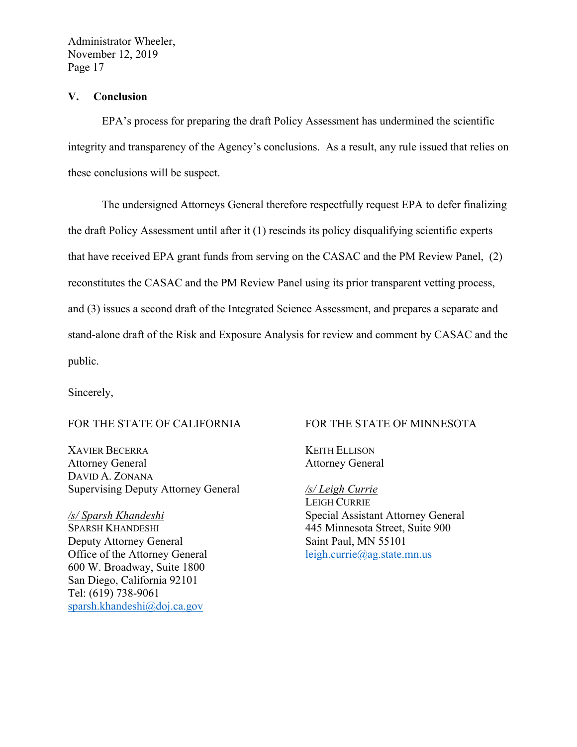### **V. Conclusion**

EPA's process for preparing the draft Policy Assessment has undermined the scientific integrity and transparency of the Agency's conclusions. As a result, any rule issued that relies on these conclusions will be suspect.

The undersigned Attorneys General therefore respectfully request EPA to defer finalizing the draft Policy Assessment until after it (1) rescinds its policy disqualifying scientific experts that have received EPA grant funds from serving on the CASAC and the PM Review Panel, (2) reconstitutes the CASAC and the PM Review Panel using its prior transparent vetting process, and (3) issues a second draft of the Integrated Science Assessment, and prepares a separate and stand-alone draft of the Risk and Exposure Analysis for review and comment by CASAC and the public.

Sincerely,

## FOR THE STATE OF CALIFORNIA

XAVIER BECERRA Attorney General DAVID A. ZONANA Supervising Deputy Attorney General

*/s/ Sparsh Khandeshi* SPARSH KHANDESHI Deputy Attorney General Office of the Attorney General 600 W. Broadway, Suite 1800 San Diego, California 92101 Tel: (619) 738-9061 sparsh.khandeshi@doj.ca.gov

#### FOR THE STATE OF MINNESOTA

KEITH ELLISON Attorney General

*/s/ Leigh Currie* LEIGH CURRIE Special Assistant Attorney General 445 Minnesota Street, Suite 900 Saint Paul, MN 55101 leigh.currie@ag.state.mn.us